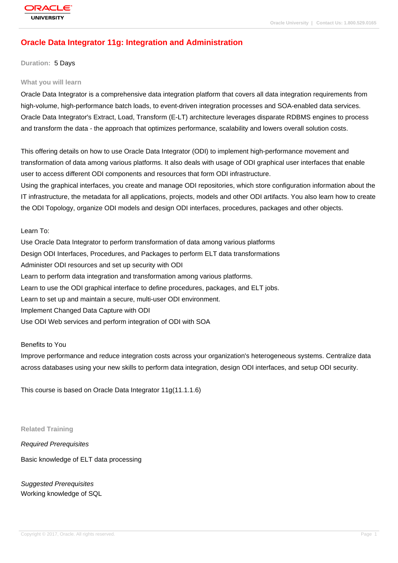# **[Oracle Data Int](http://education.oracle.com/pls/web_prod-plq-dad/db_pages.getpage?page_id=3)egrator 11g: Integration and Administration**

**Duration:** 5 Days

#### **What you will learn**

Oracle Data Integrator is a comprehensive data integration platform that covers all data integration requirements from high-volume, high-performance batch loads, to event-driven integration processes and SOA-enabled data services. Oracle Data Integrator's Extract, Load, Transform (E-LT) architecture leverages disparate RDBMS engines to process and transform the data - the approach that optimizes performance, scalability and lowers overall solution costs.

This offering details on how to use Oracle Data Integrator (ODI) to implement high-performance movement and transformation of data among various platforms. It also deals with usage of ODI graphical user interfaces that enable user to access different ODI components and resources that form ODI infrastructure.

Using the graphical interfaces, you create and manage ODI repositories, which store configuration information about the IT infrastructure, the metadata for all applications, projects, models and other ODI artifacts. You also learn how to create the ODI Topology, organize ODI models and design ODI interfaces, procedures, packages and other objects.

Learn To:

Use Oracle Data Integrator to perform transformation of data among various platforms Design ODI Interfaces, Procedures, and Packages to perform ELT data transformations Administer ODI resources and set up security with ODI Learn to perform data integration and transformation among various platforms. Learn to use the ODI graphical interface to define procedures, packages, and ELT jobs. Learn to set up and maintain a secure, multi-user ODI environment. Implement Changed Data Capture with ODI Use ODI Web services and perform integration of ODI with SOA

Benefits to You

Improve performance and reduce integration costs across your organization's heterogeneous systems. Centralize data across databases using your new skills to perform data integration, design ODI interfaces, and setup ODI security.

This course is based on Oracle Data Integrator 11g(11.1.1.6)

**Related Training**

Required Prerequisites

Basic knowledge of ELT data processing

Suggested Prerequisites Working knowledge of SQL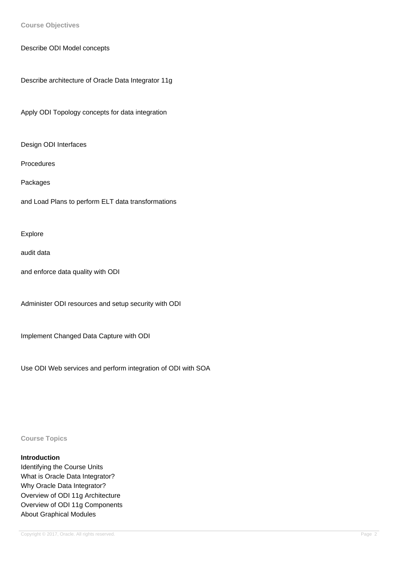**Course Objectives**

Describe ODI Model concepts

Describe architecture of Oracle Data Integrator 11g

Apply ODI Topology concepts for data integration

Design ODI Interfaces

Procedures

Packages

and Load Plans to perform ELT data transformations

Explore

audit data

and enforce data quality with ODI

Administer ODI resources and setup security with ODI

Implement Changed Data Capture with ODI

Use ODI Web services and perform integration of ODI with SOA

**Course Topics**

# **Introduction**

Identifying the Course Units What is Oracle Data Integrator? Why Oracle Data Integrator? Overview of ODI 11g Architecture Overview of ODI 11g Components About Graphical Modules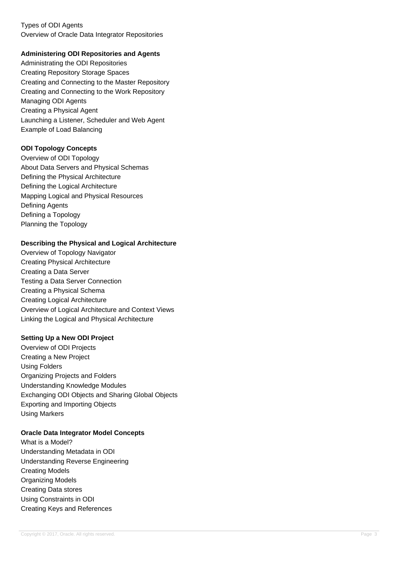# Types of ODI Agents Overview of Oracle Data Integrator Repositories

#### **Administering ODI Repositories and Agents**

Administrating the ODI Repositories Creating Repository Storage Spaces Creating and Connecting to the Master Repository Creating and Connecting to the Work Repository Managing ODI Agents Creating a Physical Agent Launching a Listener, Scheduler and Web Agent Example of Load Balancing

#### **ODI Topology Concepts**

Overview of ODI Topology About Data Servers and Physical Schemas Defining the Physical Architecture Defining the Logical Architecture Mapping Logical and Physical Resources Defining Agents Defining a Topology Planning the Topology

#### **Describing the Physical and Logical Architecture**

Overview of Topology Navigator Creating Physical Architecture Creating a Data Server Testing a Data Server Connection Creating a Physical Schema Creating Logical Architecture Overview of Logical Architecture and Context Views Linking the Logical and Physical Architecture

#### **Setting Up a New ODI Project**

Overview of ODI Projects Creating a New Project Using Folders Organizing Projects and Folders Understanding Knowledge Modules Exchanging ODI Objects and Sharing Global Objects Exporting and Importing Objects Using Markers

#### **Oracle Data Integrator Model Concepts**

What is a Model? Understanding Metadata in ODI Understanding Reverse Engineering Creating Models Organizing Models Creating Data stores Using Constraints in ODI Creating Keys and References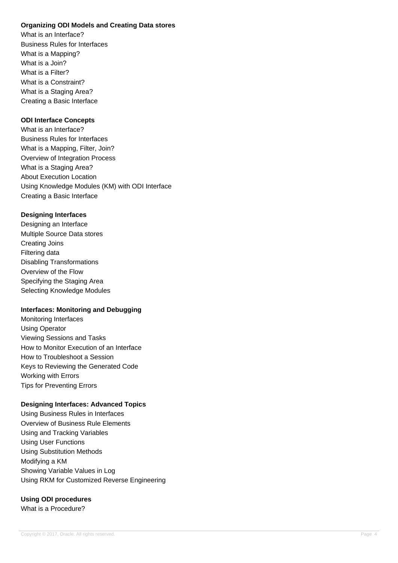# **Organizing ODI Models and Creating Data stores**

What is an Interface? Business Rules for Interfaces What is a Mapping? What is a Join? What is a Filter? What is a Constraint? What is a Staging Area? Creating a Basic Interface

#### **ODI Interface Concepts**

What is an Interface? Business Rules for Interfaces What is a Mapping, Filter, Join? Overview of Integration Process What is a Staging Area? About Execution Location Using Knowledge Modules (KM) with ODI Interface Creating a Basic Interface

#### **Designing Interfaces**

Designing an Interface Multiple Source Data stores Creating Joins Filtering data Disabling Transformations Overview of the Flow Specifying the Staging Area Selecting Knowledge Modules

# **Interfaces: Monitoring and Debugging**

Monitoring Interfaces Using Operator Viewing Sessions and Tasks How to Monitor Execution of an Interface How to Troubleshoot a Session Keys to Reviewing the Generated Code Working with Errors Tips for Preventing Errors

# **Designing Interfaces: Advanced Topics**

Using Business Rules in Interfaces Overview of Business Rule Elements Using and Tracking Variables Using User Functions Using Substitution Methods Modifying a KM Showing Variable Values in Log Using RKM for Customized Reverse Engineering

# **Using ODI procedures**

What is a Procedure?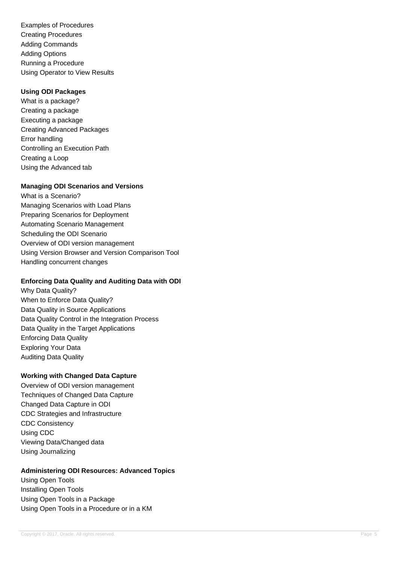Examples of Procedures Creating Procedures Adding Commands Adding Options Running a Procedure Using Operator to View Results

#### **Using ODI Packages**

What is a package? Creating a package Executing a package Creating Advanced Packages Error handling Controlling an Execution Path Creating a Loop Using the Advanced tab

# **Managing ODI Scenarios and Versions**

What is a Scenario? Managing Scenarios with Load Plans Preparing Scenarios for Deployment Automating Scenario Management Scheduling the ODI Scenario Overview of ODI version management Using Version Browser and Version Comparison Tool Handling concurrent changes

#### **Enforcing Data Quality and Auditing Data with ODI**

Why Data Quality? When to Enforce Data Quality? Data Quality in Source Applications Data Quality Control in the Integration Process Data Quality in the Target Applications Enforcing Data Quality Exploring Your Data Auditing Data Quality

# **Working with Changed Data Capture**

Overview of ODI version management Techniques of Changed Data Capture Changed Data Capture in ODI CDC Strategies and Infrastructure CDC Consistency Using CDC Viewing Data/Changed data Using Journalizing

# **Administering ODI Resources: Advanced Topics**

Using Open Tools Installing Open Tools Using Open Tools in a Package Using Open Tools in a Procedure or in a KM